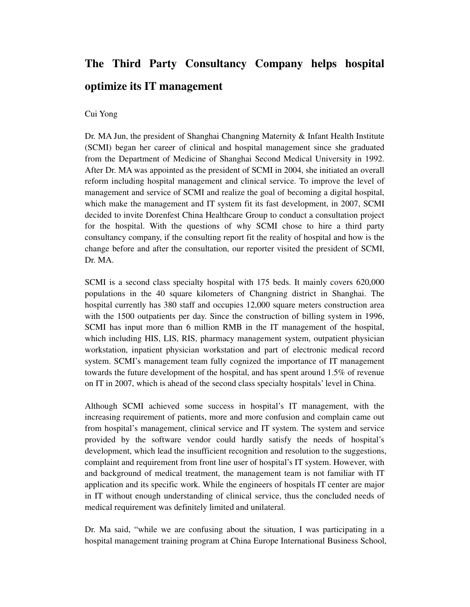# **The Third Party Consultancy Company helps hospital optimize its IT management**

#### Cui Yong

Dr. MA Jun, the president of Shanghai Changning Maternity & Infant Health Institute (SCMI) began her career of clinical and hospital management since she graduated from the Department of Medicine of Shanghai Second Medical University in 1992. After Dr. MA was appointed as the president of SCMI in 2004, she initiated an overall reform including hospital management and clinical service. To improve the level of management and service of SCMI and realize the goal of becoming a digital hospital, which make the management and IT system fit its fast development, in 2007, SCMI decided to invite Dorenfest China Healthcare Group to conduct a consultation project for the hospital. With the questions of why SCMI chose to hire a third party consultancy company, if the consulting report fit the reality of hospital and how is the change before and after the consultation, our reporter visited the president of SCMI, Dr. MA.

SCMI is a second class specialty hospital with 175 beds. It mainly covers 620,000 populations in the 40 square kilometers of Changning district in Shanghai. The hospital currently has 380 staff and occupies 12,000 square meters construction area with the 1500 outpatients per day. Since the construction of billing system in 1996, SCMI has input more than 6 million RMB in the IT management of the hospital, which including HIS, LIS, RIS, pharmacy management system, outpatient physician workstation, inpatient physician workstation and part of electronic medical record system. SCMI's management team fully cognized the importance of IT management towards the future development of the hospital, and has spent around 1.5% of revenue on IT in 2007, which is ahead of the second class specialty hospitals' level in China.

Although SCMI achieved some success in hospital's IT management, with the increasing requirement of patients, more and more confusion and complain came out from hospital's management, clinical service and IT system. The system and service provided by the software vendor could hardly satisfy the needs of hospital's development, which lead the insufficient recognition and resolution to the suggestions, complaint and requirement from front line user of hospital's IT system. However, with and background of medical treatment, the management team is not familiar with IT application and its specific work. While the engineers of hospitals IT center are major in IT without enough understanding of clinical service, thus the concluded needs of medical requirement was definitely limited and unilateral.

Dr. Ma said, "while we are confusing about the situation, I was participating in a hospital management training program at China Europe International Business School,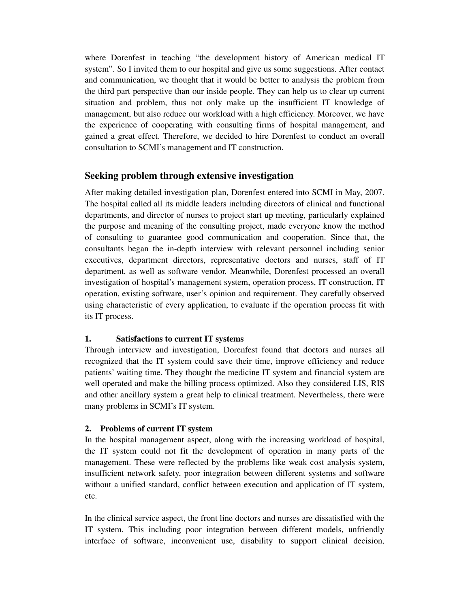where Dorenfest in teaching "the development history of American medical IT system". So I invited them to our hospital and give us some suggestions. After contact and communication, we thought that it would be better to analysis the problem from the third part perspective than our inside people. They can help us to clear up current situation and problem, thus not only make up the insufficient IT knowledge of management, but also reduce our workload with a high efficiency. Moreover, we have the experience of cooperating with consulting firms of hospital management, and gained a great effect. Therefore, we decided to hire Dorenfest to conduct an overall consultation to SCMI's management and IT construction.

## **Seeking problem through extensive investigation**

After making detailed investigation plan, Dorenfest entered into SCMI in May, 2007. The hospital called all its middle leaders including directors of clinical and functional departments, and director of nurses to project start up meeting, particularly explained the purpose and meaning of the consulting project, made everyone know the method of consulting to guarantee good communication and cooperation. Since that, the consultants began the in-depth interview with relevant personnel including senior executives, department directors, representative doctors and nurses, staff of IT department, as well as software vendor. Meanwhile, Dorenfest processed an overall investigation of hospital's management system, operation process, IT construction, IT operation, existing software, user's opinion and requirement. They carefully observed using characteristic of every application, to evaluate if the operation process fit with its IT process.

#### **1. Satisfactions to current IT systems**

Through interview and investigation, Dorenfest found that doctors and nurses all recognized that the IT system could save their time, improve efficiency and reduce patients' waiting time. They thought the medicine IT system and financial system are well operated and make the billing process optimized. Also they considered LIS, RIS and other ancillary system a great help to clinical treatment. Nevertheless, there were many problems in SCMI's IT system.

#### **2. Problems of current IT system**

In the hospital management aspect, along with the increasing workload of hospital, the IT system could not fit the development of operation in many parts of the management. These were reflected by the problems like weak cost analysis system, insufficient network safety, poor integration between different systems and software without a unified standard, conflict between execution and application of IT system, etc.

In the clinical service aspect, the front line doctors and nurses are dissatisfied with the IT system. This including poor integration between different models, unfriendly interface of software, inconvenient use, disability to support clinical decision,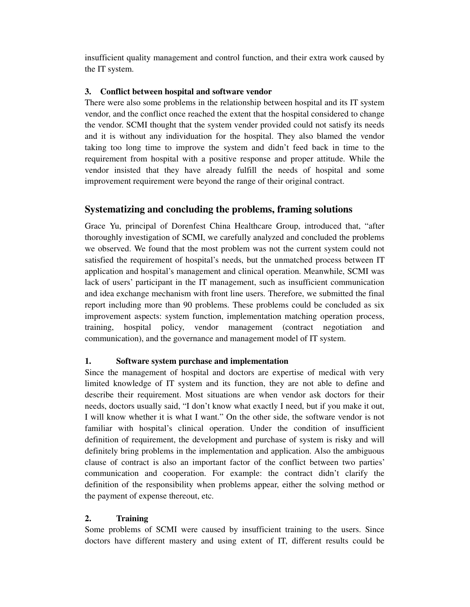insufficient quality management and control function, and their extra work caused by the IT system.

#### **3. Conflict between hospital and software vendor**

There were also some problems in the relationship between hospital and its IT system vendor, and the conflict once reached the extent that the hospital considered to change the vendor. SCMI thought that the system vender provided could not satisfy its needs and it is without any individuation for the hospital. They also blamed the vendor taking too long time to improve the system and didn't feed back in time to the requirement from hospital with a positive response and proper attitude. While the vendor insisted that they have already fulfill the needs of hospital and some improvement requirement were beyond the range of their original contract.

# **Systematizing and concluding the problems, framing solutions**

Grace Yu, principal of Dorenfest China Healthcare Group, introduced that, "after thoroughly investigation of SCMI, we carefully analyzed and concluded the problems we observed. We found that the most problem was not the current system could not satisfied the requirement of hospital's needs, but the unmatched process between IT application and hospital's management and clinical operation. Meanwhile, SCMI was lack of users' participant in the IT management, such as insufficient communication and idea exchange mechanism with front line users. Therefore, we submitted the final report including more than 90 problems. These problems could be concluded as six improvement aspects: system function, implementation matching operation process, training, hospital policy, vendor management (contract negotiation and communication), and the governance and management model of IT system.

#### **1. Software system purchase and implementation**

Since the management of hospital and doctors are expertise of medical with very limited knowledge of IT system and its function, they are not able to define and describe their requirement. Most situations are when vendor ask doctors for their needs, doctors usually said, "I don't know what exactly I need, but if you make it out, I will know whether it is what I want." On the other side, the software vendor is not familiar with hospital's clinical operation. Under the condition of insufficient definition of requirement, the development and purchase of system is risky and will definitely bring problems in the implementation and application. Also the ambiguous clause of contract is also an important factor of the conflict between two parties' communication and cooperation. For example: the contract didn't clarify the definition of the responsibility when problems appear, either the solving method or the payment of expense thereout, etc.

#### **2. Training**

Some problems of SCMI were caused by insufficient training to the users. Since doctors have different mastery and using extent of IT, different results could be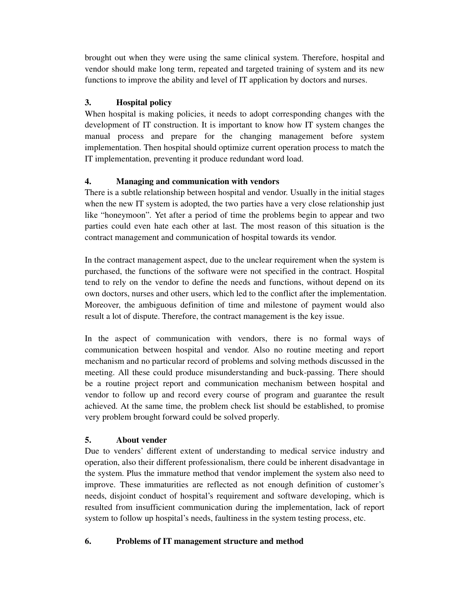brought out when they were using the same clinical system. Therefore, hospital and vendor should make long term, repeated and targeted training of system and its new functions to improve the ability and level of IT application by doctors and nurses.

## **3. Hospital policy**

When hospital is making policies, it needs to adopt corresponding changes with the development of IT construction. It is important to know how IT system changes the manual process and prepare for the changing management before system implementation. Then hospital should optimize current operation process to match the IT implementation, preventing it produce redundant word load.

## **4. Managing and communication with vendors**

There is a subtle relationship between hospital and vendor. Usually in the initial stages when the new IT system is adopted, the two parties have a very close relationship just like "honeymoon". Yet after a period of time the problems begin to appear and two parties could even hate each other at last. The most reason of this situation is the contract management and communication of hospital towards its vendor.

In the contract management aspect, due to the unclear requirement when the system is purchased, the functions of the software were not specified in the contract. Hospital tend to rely on the vendor to define the needs and functions, without depend on its own doctors, nurses and other users, which led to the conflict after the implementation. Moreover, the ambiguous definition of time and milestone of payment would also result a lot of dispute. Therefore, the contract management is the key issue.

In the aspect of communication with vendors, there is no formal ways of communication between hospital and vendor. Also no routine meeting and report mechanism and no particular record of problems and solving methods discussed in the meeting. All these could produce misunderstanding and buck-passing. There should be a routine project report and communication mechanism between hospital and vendor to follow up and record every course of program and guarantee the result achieved. At the same time, the problem check list should be established, to promise very problem brought forward could be solved properly.

#### **5. About vender**

Due to venders' different extent of understanding to medical service industry and operation, also their different professionalism, there could be inherent disadvantage in the system. Plus the immature method that vendor implement the system also need to improve. These immaturities are reflected as not enough definition of customer's needs, disjoint conduct of hospital's requirement and software developing, which is resulted from insufficient communication during the implementation, lack of report system to follow up hospital's needs, faultiness in the system testing process, etc.

#### **6. Problems of IT management structure and method**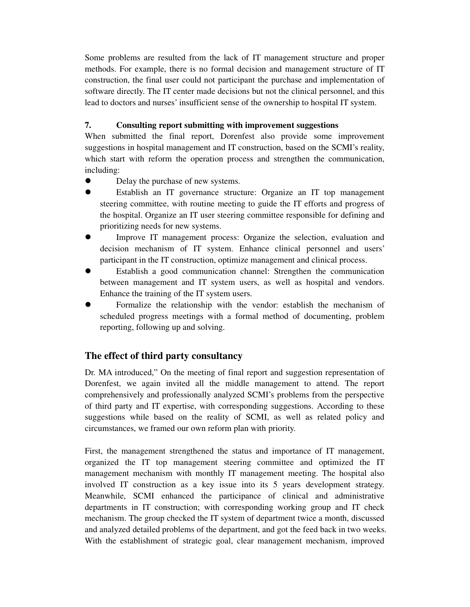Some problems are resulted from the lack of IT management structure and proper methods. For example, there is no formal decision and management structure of IT construction, the final user could not participant the purchase and implementation of software directly. The IT center made decisions but not the clinical personnel, and this lead to doctors and nurses' insufficient sense of the ownership to hospital IT system.

## **7. Consulting report submitting with improvement suggestions**

When submitted the final report, Dorenfest also provide some improvement suggestions in hospital management and IT construction, based on the SCMI's reality, which start with reform the operation process and strengthen the communication, including:

- Delay the purchase of new systems.
- Establish an IT governance structure: Organize an IT top management steering committee, with routine meeting to guide the IT efforts and progress of the hospital. Organize an IT user steering committee responsible for defining and prioritizing needs for new systems.
- Improve IT management process: Organize the selection, evaluation and decision mechanism of IT system. Enhance clinical personnel and users' participant in the IT construction, optimize management and clinical process.
- Establish a good communication channel: Strengthen the communication between management and IT system users, as well as hospital and vendors. Enhance the training of the IT system users.
- Formalize the relationship with the vendor: establish the mechanism of scheduled progress meetings with a formal method of documenting, problem reporting, following up and solving.

# **The effect of third party consultancy**

Dr. MA introduced," On the meeting of final report and suggestion representation of Dorenfest, we again invited all the middle management to attend. The report comprehensively and professionally analyzed SCMI's problems from the perspective of third party and IT expertise, with corresponding suggestions. According to these suggestions while based on the reality of SCMI, as well as related policy and circumstances, we framed our own reform plan with priority.

First, the management strengthened the status and importance of IT management, organized the IT top management steering committee and optimized the IT management mechanism with monthly IT management meeting. The hospital also involved IT construction as a key issue into its 5 years development strategy. Meanwhile, SCMI enhanced the participance of clinical and administrative departments in IT construction; with corresponding working group and IT check mechanism. The group checked the IT system of department twice a month, discussed and analyzed detailed problems of the department, and got the feed back in two weeks. With the establishment of strategic goal, clear management mechanism, improved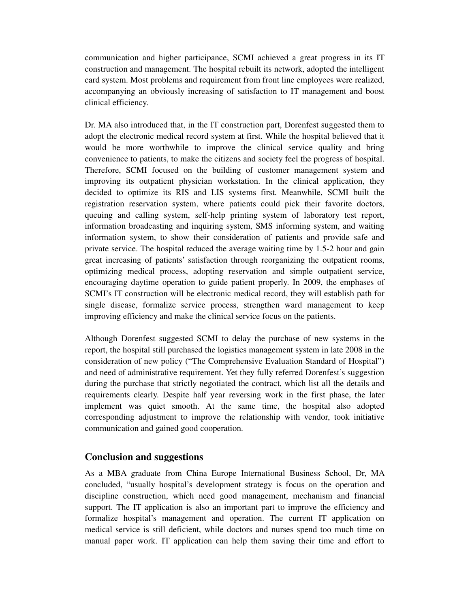communication and higher participance, SCMI achieved a great progress in its IT construction and management. The hospital rebuilt its network, adopted the intelligent card system. Most problems and requirement from front line employees were realized, accompanying an obviously increasing of satisfaction to IT management and boost clinical efficiency.

Dr. MA also introduced that, in the IT construction part, Dorenfest suggested them to adopt the electronic medical record system at first. While the hospital believed that it would be more worthwhile to improve the clinical service quality and bring convenience to patients, to make the citizens and society feel the progress of hospital. Therefore, SCMI focused on the building of customer management system and improving its outpatient physician workstation. In the clinical application, they decided to optimize its RIS and LIS systems first. Meanwhile, SCMI built the registration reservation system, where patients could pick their favorite doctors, queuing and calling system, self-help printing system of laboratory test report, information broadcasting and inquiring system, SMS informing system, and waiting information system, to show their consideration of patients and provide safe and private service. The hospital reduced the average waiting time by 1.5-2 hour and gain great increasing of patients' satisfaction through reorganizing the outpatient rooms, optimizing medical process, adopting reservation and simple outpatient service, encouraging daytime operation to guide patient properly. In 2009, the emphases of SCMI's IT construction will be electronic medical record, they will establish path for single disease, formalize service process, strengthen ward management to keep improving efficiency and make the clinical service focus on the patients.

Although Dorenfest suggested SCMI to delay the purchase of new systems in the report, the hospital still purchased the logistics management system in late 2008 in the consideration of new policy ("The Comprehensive Evaluation Standard of Hospital") and need of administrative requirement. Yet they fully referred Dorenfest's suggestion during the purchase that strictly negotiated the contract, which list all the details and requirements clearly. Despite half year reversing work in the first phase, the later implement was quiet smooth. At the same time, the hospital also adopted corresponding adjustment to improve the relationship with vendor, took initiative communication and gained good cooperation.

#### **Conclusion and suggestions**

As a MBA graduate from China Europe International Business School, Dr, MA concluded, "usually hospital's development strategy is focus on the operation and discipline construction, which need good management, mechanism and financial support. The IT application is also an important part to improve the efficiency and formalize hospital's management and operation. The current IT application on medical service is still deficient, while doctors and nurses spend too much time on manual paper work. IT application can help them saving their time and effort to